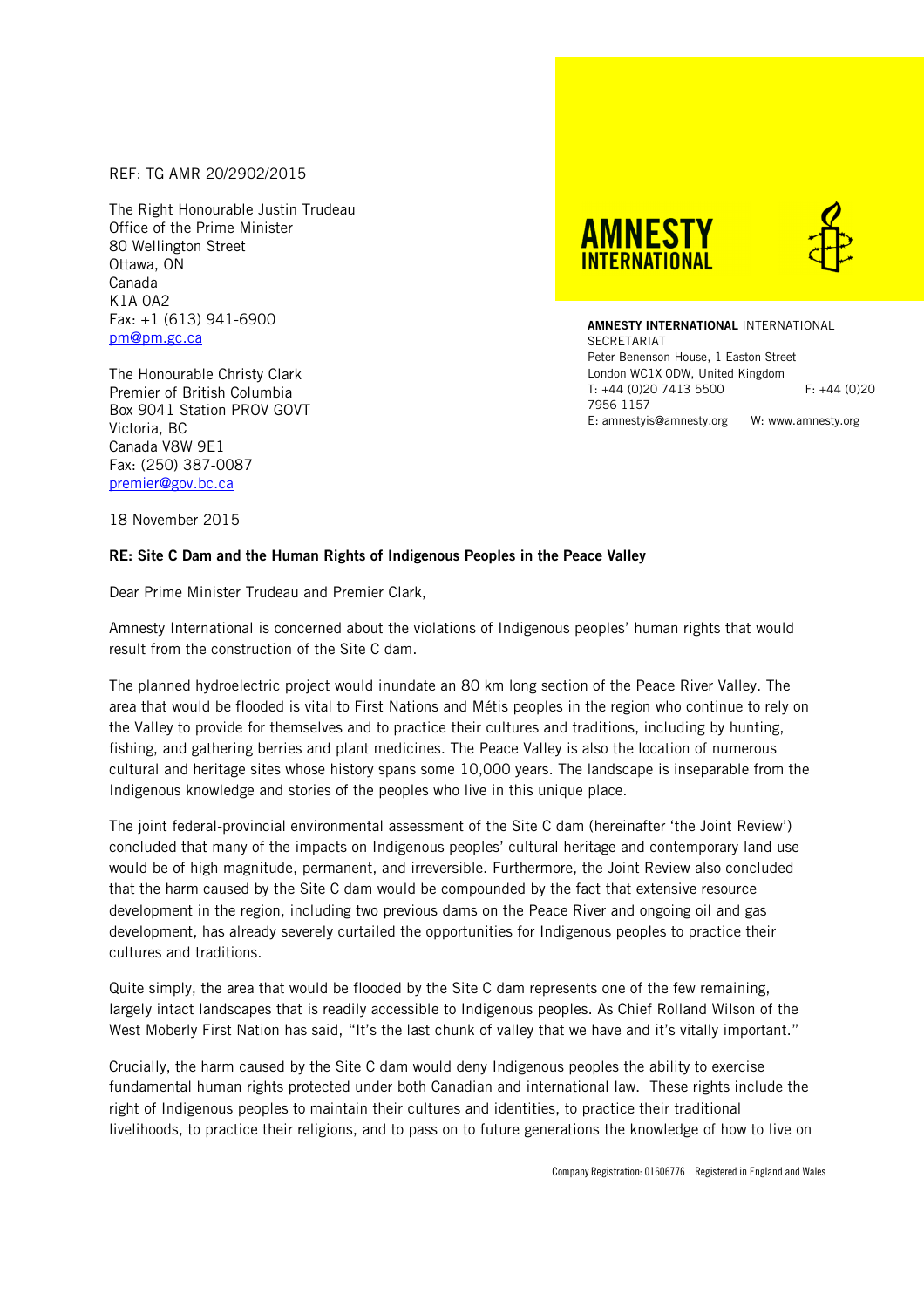REF: TG AMR 20/2902/2015

The Right Honourable Justin Trudeau Office of the Prime Minister 80 Wellington Street Ottawa, ON Canada K1A 0A2 Fax: +1 (613) 941-6900 pm@pm.gc.ca

The Honourable Christy Clark Premier of British Columbia Box 9041 Station PROV GOVT Victoria, BC Canada V8W 9E1 Fax: (250) 387-0087 premier@gov.bc.ca





**AMNESTY INTERNATIONAL** INTERNATIONAL **SECRETARIAT** Peter Benenson House, 1 Easton Street London WC1X 0DW, United Kingdom T: +44 (0)20 7413 5500 F: +44 (0)20 7956 1157 E: amnestyis@amnesty.org W: www.amnesty.org

18 November 2015

## **RE: Site C Dam and the Human Rights of Indigenous Peoples in the Peace Valley**

Dear Prime Minister Trudeau and Premier Clark,

Amnesty International is concerned about the violations of Indigenous peoples' human rights that would result from the construction of the Site C dam.

The planned hydroelectric project would inundate an 80 km long section of the Peace River Valley. The area that would be flooded is vital to First Nations and Métis peoples in the region who continue to rely on the Valley to provide for themselves and to practice their cultures and traditions, including by hunting, fishing, and gathering berries and plant medicines. The Peace Valley is also the location of numerous cultural and heritage sites whose history spans some 10,000 years. The landscape is inseparable from the Indigenous knowledge and stories of the peoples who live in this unique place.

The joint federal-provincial environmental assessment of the Site C dam (hereinafter 'the Joint Review') concluded that many of the impacts on Indigenous peoples' cultural heritage and contemporary land use would be of high magnitude, permanent, and irreversible. Furthermore, the Joint Review also concluded that the harm caused by the Site C dam would be compounded by the fact that extensive resource development in the region, including two previous dams on the Peace River and ongoing oil and gas development, has already severely curtailed the opportunities for Indigenous peoples to practice their cultures and traditions.

Quite simply, the area that would be flooded by the Site C dam represents one of the few remaining, largely intact landscapes that is readily accessible to Indigenous peoples. As Chief Rolland Wilson of the West Moberly First Nation has said, "It's the last chunk of valley that we have and it's vitally important."

Crucially, the harm caused by the Site C dam would deny Indigenous peoples the ability to exercise fundamental human rights protected under both Canadian and international law. These rights include the right of Indigenous peoples to maintain their cultures and identities, to practice their traditional livelihoods, to practice their religions, and to pass on to future generations the knowledge of how to live on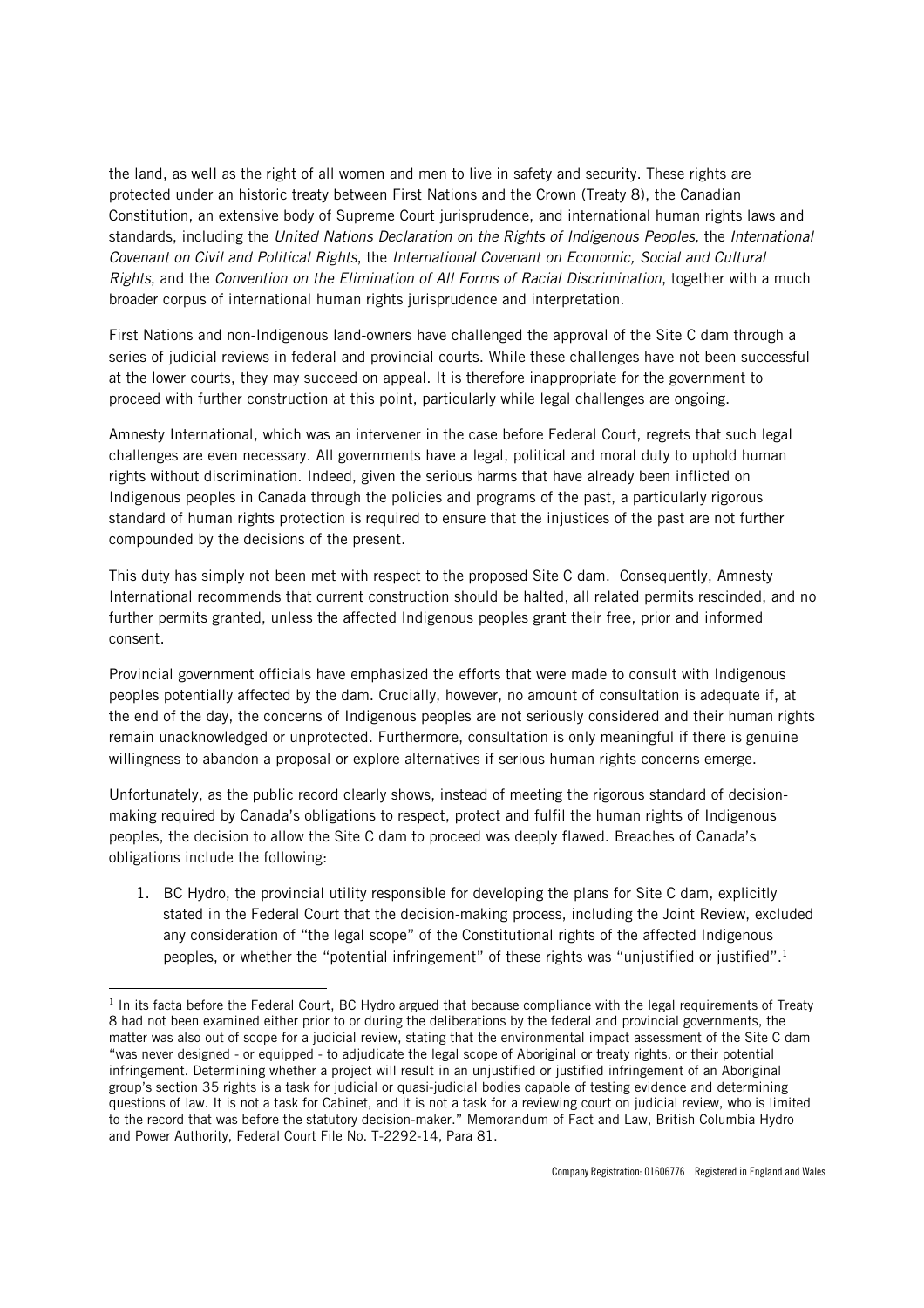the land, as well as the right of all women and men to live in safety and security. These rights are protected under an historic treaty between First Nations and the Crown (Treaty 8), the Canadian Constitution, an extensive body of Supreme Court jurisprudence, and international human rights laws and standards, including the *United Nations Declaration on the Rights of Indigenous Peoples,* the *International Covenant on Civil and Political Rights*, the *International Covenant on Economic, Social and Cultural Rights*, and the *Convention on the Elimination of All Forms of Racial Discrimination*, together with a much broader corpus of international human rights jurisprudence and interpretation.

First Nations and non-Indigenous land-owners have challenged the approval of the Site C dam through a series of judicial reviews in federal and provincial courts. While these challenges have not been successful at the lower courts, they may succeed on appeal. It is therefore inappropriate for the government to proceed with further construction at this point, particularly while legal challenges are ongoing.

Amnesty International, which was an intervener in the case before Federal Court, regrets that such legal challenges are even necessary. All governments have a legal, political and moral duty to uphold human rights without discrimination. Indeed, given the serious harms that have already been inflicted on Indigenous peoples in Canada through the policies and programs of the past, a particularly rigorous standard of human rights protection is required to ensure that the injustices of the past are not further compounded by the decisions of the present.

This duty has simply not been met with respect to the proposed Site C dam. Consequently, Amnesty International recommends that current construction should be halted, all related permits rescinded, and no further permits granted, unless the affected Indigenous peoples grant their free, prior and informed consent.

Provincial government officials have emphasized the efforts that were made to consult with Indigenous peoples potentially affected by the dam. Crucially, however, no amount of consultation is adequate if, at the end of the day, the concerns of Indigenous peoples are not seriously considered and their human rights remain unacknowledged or unprotected. Furthermore, consultation is only meaningful if there is genuine willingness to abandon a proposal or explore alternatives if serious human rights concerns emerge.

Unfortunately, as the public record clearly shows, instead of meeting the rigorous standard of decisionmaking required by Canada's obligations to respect, protect and fulfil the human rights of Indigenous peoples, the decision to allow the Site C dam to proceed was deeply flawed. Breaches of Canada's obligations include the following:

1. BC Hydro, the provincial utility responsible for developing the plans for Site C dam, explicitly stated in the Federal Court that the decision-making process, including the Joint Review, excluded any consideration of "the legal scope" of the Constitutional rights of the affected Indigenous peoples, or whether the "potential infringement" of these rights was "unjustified or justified".<sup>1</sup>

.<br>-

<sup>&</sup>lt;sup>1</sup> In its facta before the Federal Court, BC Hydro argued that because compliance with the legal requirements of Treaty 8 had not been examined either prior to or during the deliberations by the federal and provincial governments, the matter was also out of scope for a judicial review, stating that the environmental impact assessment of the Site C dam "was never designed - or equipped - to adjudicate the legal scope of Aboriginal or treaty rights, or their potential infringement. Determining whether a project will result in an unjustified or justified infringement of an Aboriginal group's section 35 rights is a task for judicial or quasi-judicial bodies capable of testing evidence and determining questions of law. It is not a task for Cabinet, and it is not a task for a reviewing court on judicial review, who is limited to the record that was before the statutory decision-maker." Memorandum of Fact and Law, British Columbia Hydro and Power Authority, Federal Court File No. T-2292-14, Para 81.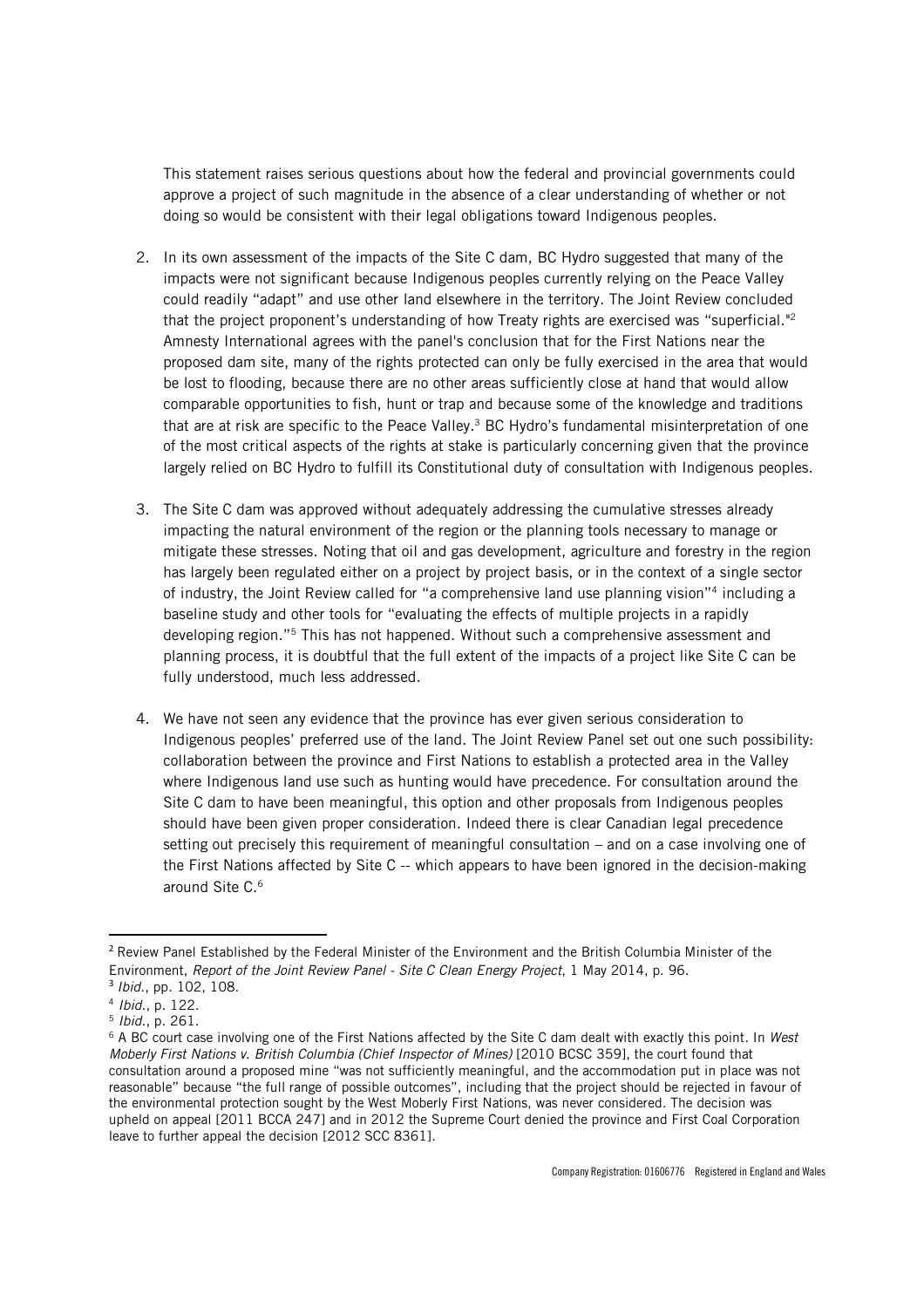This statement raises serious questions about how the federal and provincial governments could approve a project of such magnitude in the absence of a clear understanding of whether or not doing so would be consistent with their legal obligations toward Indigenous peoples.

- 2. In its own assessment of the impacts of the Site C dam, BC Hydro suggested that many of the impacts were not significant because Indigenous peoples currently relying on the Peace Valley could readily "adapt" and use other land elsewhere in the territory. The Joint Review concluded that the project proponent's understanding of how Treaty rights are exercised was "superficial."<sup>2</sup> Amnesty International agrees with the panel's conclusion that for the First Nations near the proposed dam site, many of the rights protected can only be fully exercised in the area that would be lost to flooding, because there are no other areas sufficiently close at hand that would allow comparable opportunities to fish, hunt or trap and because some of the knowledge and traditions that are at risk are specific to the Peace Valley.<sup>3</sup> BC Hydro's fundamental misinterpretation of one of the most critical aspects of the rights at stake is particularly concerning given that the province largely relied on BC Hydro to fulfill its Constitutional duty of consultation with Indigenous peoples.
- 3. The Site C dam was approved without adequately addressing the cumulative stresses already impacting the natural environment of the region or the planning tools necessary to manage or mitigate these stresses. Noting that oil and gas development, agriculture and forestry in the region has largely been regulated either on a project by project basis, or in the context of a single sector of industry, the Joint Review called for "a comprehensive land use planning vision"<sup>4</sup> including a baseline study and other tools for "evaluating the effects of multiple projects in a rapidly developing region."<sup>5</sup> This has not happened. Without such a comprehensive assessment and planning process, it is doubtful that the full extent of the impacts of a project like Site C can be fully understood, much less addressed.
- 4. We have not seen any evidence that the province has ever given serious consideration to Indigenous peoples' preferred use of the land. The Joint Review Panel set out one such possibility: collaboration between the province and First Nations to establish a protected area in the Valley where Indigenous land use such as hunting would have precedence. For consultation around the Site C dam to have been meaningful, this option and other proposals from Indigenous peoples should have been given proper consideration. Indeed there is clear Canadian legal precedence setting out precisely this requirement of meaningful consultation – and on a case involving one of the First Nations affected by Site C -- which appears to have been ignored in the decision-making around Site C.<sup>6</sup>

<u>.</u>

<sup>2</sup> Review Panel Established by the Federal Minister of the Environment and the British Columbia Minister of the Environment, *Report of the Joint Review Panel - Site C Clean Energy Project*, 1 May 2014, p. 96.

<sup>3</sup> *Ibid*., pp. 102, 108.

<sup>4</sup> *Ibid*., p. 122.

<sup>5</sup> *Ibid*., p. 261.

<sup>6</sup> A BC court case involving one of the First Nations affected by the Site C dam dealt with exactly this point. In *West Moberly First Nations v. British Columbia (Chief Inspector of Mines)* [2010 BCSC 359], the court found that consultation around a proposed mine "was not sufficiently meaningful, and the accommodation put in place was not reasonable" because "the full range of possible outcomes", including that the project should be rejected in favour of the environmental protection sought by the West Moberly First Nations, was never considered. The decision was upheld on appeal [2011 BCCA 247] and in 2012 the Supreme Court denied the province and First Coal Corporation leave to further appeal the decision [2012 SCC 8361].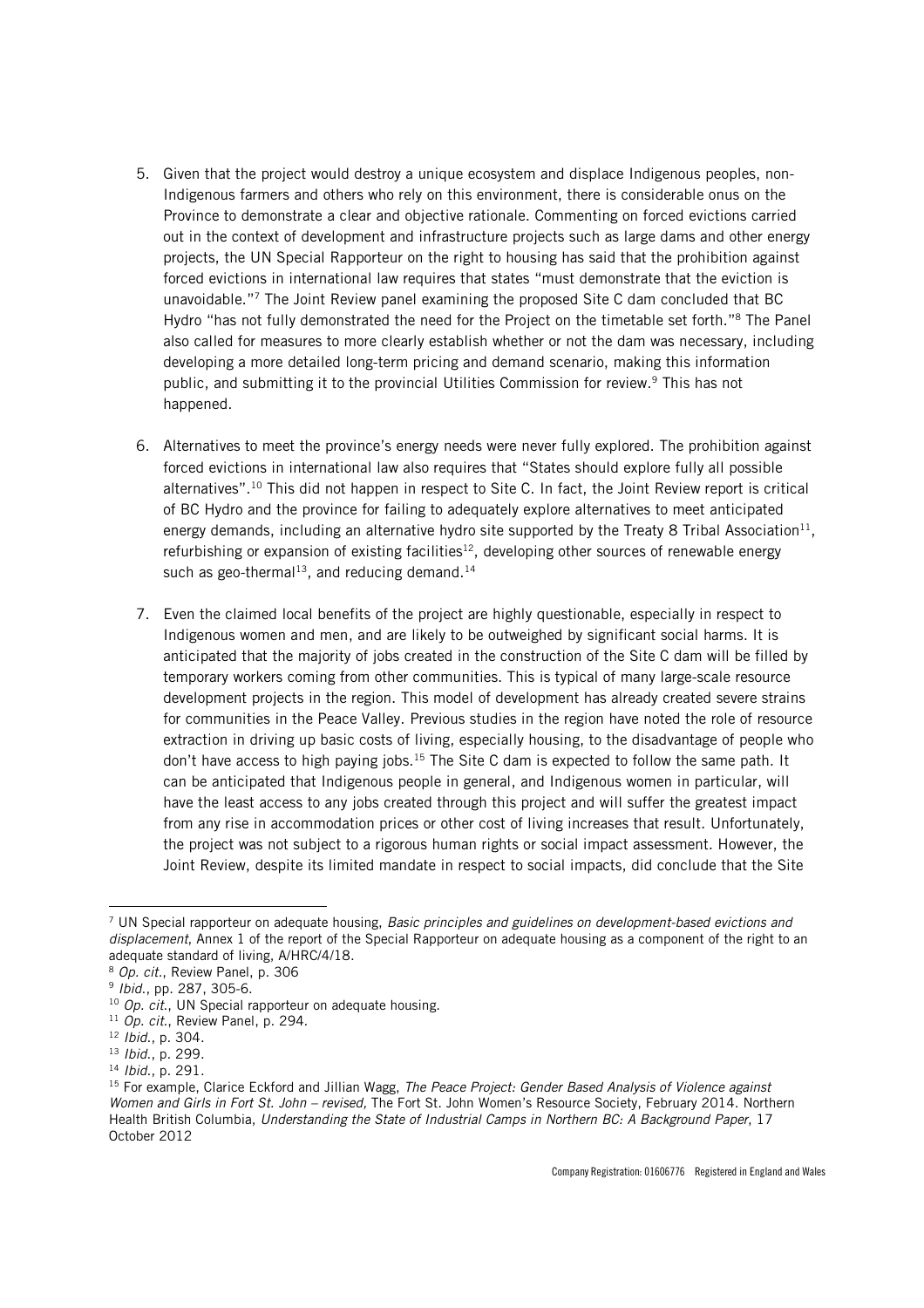- 5. Given that the project would destroy a unique ecosystem and displace Indigenous peoples, non-Indigenous farmers and others who rely on this environment, there is considerable onus on the Province to demonstrate a clear and objective rationale. Commenting on forced evictions carried out in the context of development and infrastructure projects such as large dams and other energy projects, the UN Special Rapporteur on the right to housing has said that the prohibition against forced evictions in international law requires that states "must demonstrate that the eviction is unavoidable."<sup>7</sup> The Joint Review panel examining the proposed Site C dam concluded that BC Hydro "has not fully demonstrated the need for the Project on the timetable set forth."<sup>8</sup> The Panel also called for measures to more clearly establish whether or not the dam was necessary, including developing a more detailed long-term pricing and demand scenario, making this information public, and submitting it to the provincial Utilities Commission for review.<sup>9</sup> This has not happened.
- 6. Alternatives to meet the province's energy needs were never fully explored. The prohibition against forced evictions in international law also requires that "States should explore fully all possible alternatives".<sup>10</sup> This did not happen in respect to Site C. In fact, the Joint Review report is critical of BC Hydro and the province for failing to adequately explore alternatives to meet anticipated energy demands, including an alternative hydro site supported by the Treaty 8 Tribal Association $^{11}$ , refurbishing or expansion of existing facilities<sup>12</sup>, developing other sources of renewable energy such as geo-thermal<sup>13</sup>, and reducing demand.<sup>14</sup>
- 7. Even the claimed local benefits of the project are highly questionable, especially in respect to Indigenous women and men, and are likely to be outweighed by significant social harms. It is anticipated that the majority of jobs created in the construction of the Site C dam will be filled by temporary workers coming from other communities. This is typical of many large-scale resource development projects in the region. This model of development has already created severe strains for communities in the Peace Valley. Previous studies in the region have noted the role of resource extraction in driving up basic costs of living, especially housing, to the disadvantage of people who don't have access to high paying jobs.<sup>15</sup> The Site C dam is expected to follow the same path. It can be anticipated that Indigenous people in general, and Indigenous women in particular, will have the least access to any jobs created through this project and will suffer the greatest impact from any rise in accommodation prices or other cost of living increases that result. Unfortunately, the project was not subject to a rigorous human rights or social impact assessment. However, the Joint Review, despite its limited mandate in respect to social impacts, did conclude that the Site

<u>.</u>

<sup>7</sup> UN Special rapporteur on adequate housing, *Basic principles and guidelines on development-based evictions and displacement*, Annex 1 of the report of the Special Rapporteur on adequate housing as a component of the right to an adequate standard of living, A/HRC/4/18.

<sup>8</sup> *Op. cit.*, Review Panel, p. 306

<sup>9</sup> *Ibid*., pp. 287, 305-6.

<sup>10</sup> *Op. cit*., UN Special rapporteur on adequate housing.

<sup>11</sup> *Op. cit*., Review Panel, p. 294.

<sup>12</sup> *Ibid*., p. 304.

<sup>13</sup> *Ibid*., p. 299.

<sup>14</sup> *Ibid*., p. 291.

<sup>15</sup> For example, Clarice Eckford and Jillian Wagg, *The Peace Project: Gender Based Analysis of Violence against Women and Girls in Fort St. John – revised,* The Fort St. John Women's Resource Society, February 2014. Northern Health British Columbia, *Understanding the State of Industrial Camps in Northern BC: A Background Paper*, 17 October 2012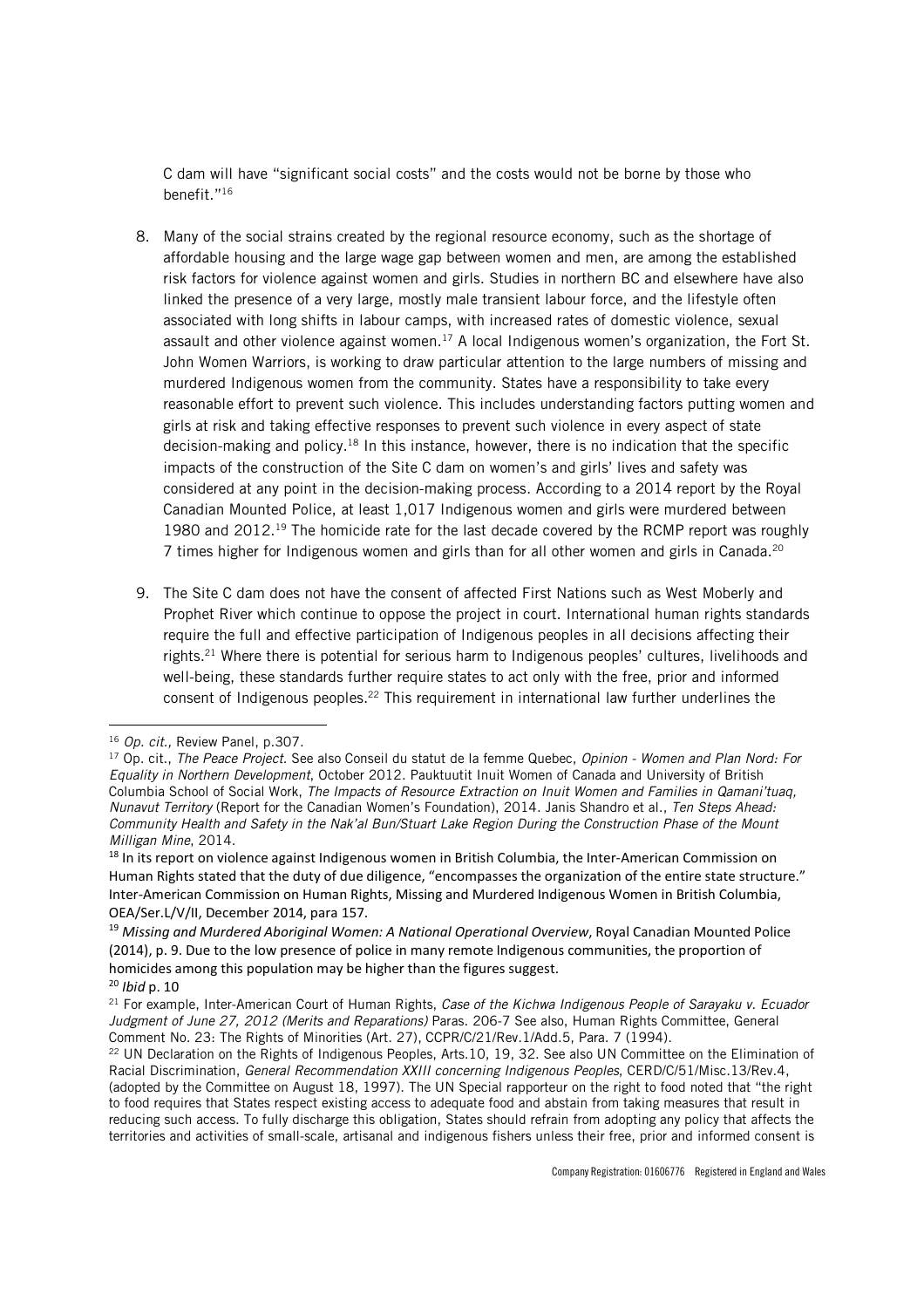C dam will have "significant social costs" and the costs would not be borne by those who benefit."<sup>16</sup>

- 8. Many of the social strains created by the regional resource economy, such as the shortage of affordable housing and the large wage gap between women and men, are among the established risk factors for violence against women and girls. Studies in northern BC and elsewhere have also linked the presence of a very large, mostly male transient labour force, and the lifestyle often associated with long shifts in labour camps, with increased rates of domestic violence, sexual assault and other violence against women.<sup>17</sup> A local Indigenous women's organization, the Fort St. John Women Warriors, is working to draw particular attention to the large numbers of missing and murdered Indigenous women from the community. States have a responsibility to take every reasonable effort to prevent such violence. This includes understanding factors putting women and girls at risk and taking effective responses to prevent such violence in every aspect of state decision-making and policy.<sup>18</sup> In this instance, however, there is no indication that the specific impacts of the construction of the Site C dam on women's and girls' lives and safety was considered at any point in the decision-making process. According to a 2014 report by the Royal Canadian Mounted Police, at least 1,017 Indigenous women and girls were murdered between 1980 and 2012.<sup>19</sup> The homicide rate for the last decade covered by the RCMP report was roughly 7 times higher for Indigenous women and girls than for all other women and girls in Canada.<sup>20</sup>
- 9. The Site C dam does not have the consent of affected First Nations such as West Moberly and Prophet River which continue to oppose the project in court. International human rights standards require the full and effective participation of Indigenous peoples in all decisions affecting their rights.<sup>21</sup> Where there is potential for serious harm to Indigenous peoples' cultures, livelihoods and well-being, these standards further require states to act only with the free, prior and informed consent of Indigenous peoples.<sup>22</sup> This requirement in international law further underlines the

<u>.</u>

<sup>16</sup> *Op. cit.,* Review Panel, p.307.

<sup>17</sup> Op. cit., *The Peace Project.* See also Conseil du statut de la femme Quebec, *Opinion - Women and Plan Nord: For Equality in Northern Development*, October 2012. Pauktuutit Inuit Women of Canada and University of British Columbia School of Social Work, *The Impacts of Resource Extraction on Inuit Women and Families in Qamani'tuaq, Nunavut Territory* (Report for the Canadian Women's Foundation), 2014. Janis Shandro et al., *Ten Steps Ahead: Community Health and Safety in the Nak'al Bun/Stuart Lake Region During the Construction Phase of the Mount Milligan Mine*, 2014.

<sup>&</sup>lt;sup>18</sup> In its report on violence against Indigenous women in British Columbia, the Inter-American Commission on Human Rights stated that the duty of due diligence, "encompasses the organization of the entire state structure." Inter-American Commission on Human Rights, Missing and Murdered Indigenous Women in British Columbia, OEA/Ser.L/V/II, December 2014, para 157.

<sup>19</sup> *Missing and Murdered Aboriginal Women: A National Operational Overview*, Royal Canadian Mounted Police (2014), p. 9. Due to the low presence of police in many remote Indigenous communities, the proportion of homicides among this population may be higher than the figures suggest.

<sup>20</sup> *Ibid* p. 10

<sup>21</sup> For example, Inter-American Court of Human Rights, *Case of the Kichwa Indigenous People of Sarayaku v. Ecuador Judgment of June 27, 2012 (Merits and Reparations)* Paras. 206-7 See also, Human Rights Committee, General Comment No. 23: The Rights of Minorities (Art. 27), CCPR/C/21/Rev.1/Add.5, Para. 7 (1994).

<sup>&</sup>lt;sup>22</sup> UN Declaration on the Rights of Indigenous Peoples, Arts.10, 19, 32. See also UN Committee on the Elimination of Racial Discrimination, *General Recommendation XXIII concerning Indigenous Peoples*, CERD/C/51/Misc.13/Rev.4, (adopted by the Committee on August 18, 1997). The UN Special rapporteur on the right to food noted that "the right to food requires that States respect existing access to adequate food and abstain from taking measures that result in reducing such access. To fully discharge this obligation, States should refrain from adopting any policy that affects the territories and activities of small-scale, artisanal and indigenous fishers unless their free, prior and informed consent is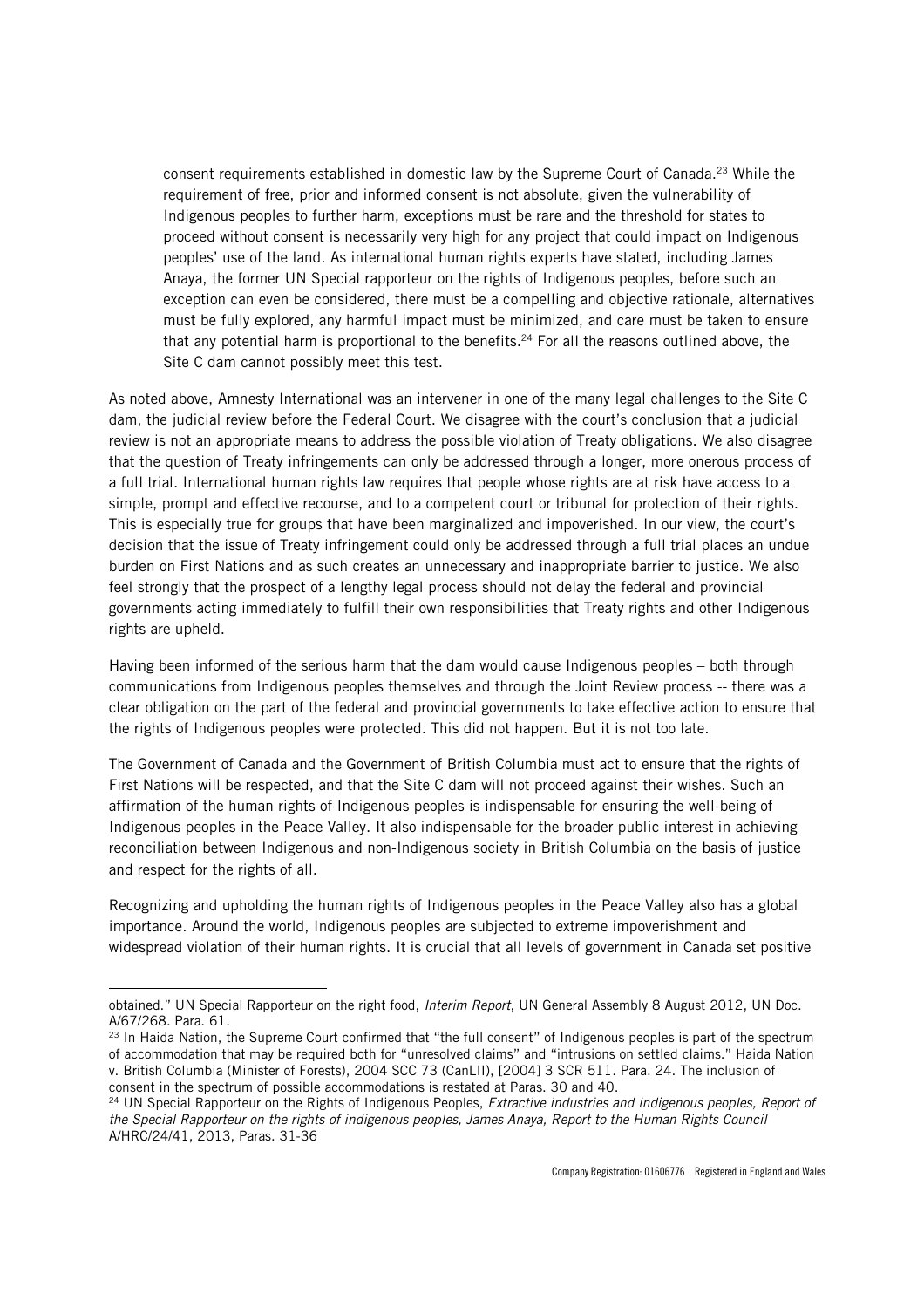consent requirements established in domestic law by the Supreme Court of Canada.<sup>23</sup> While the requirement of free, prior and informed consent is not absolute, given the vulnerability of Indigenous peoples to further harm, exceptions must be rare and the threshold for states to proceed without consent is necessarily very high for any project that could impact on Indigenous peoples' use of the land. As international human rights experts have stated, including James Anaya, the former UN Special rapporteur on the rights of Indigenous peoples, before such an exception can even be considered, there must be a compelling and objective rationale, alternatives must be fully explored, any harmful impact must be minimized, and care must be taken to ensure that any potential harm is proportional to the benefits.<sup>24</sup> For all the reasons outlined above, the Site C dam cannot possibly meet this test.

As noted above, Amnesty International was an intervener in one of the many legal challenges to the Site C dam, the judicial review before the Federal Court. We disagree with the court's conclusion that a judicial review is not an appropriate means to address the possible violation of Treaty obligations. We also disagree that the question of Treaty infringements can only be addressed through a longer, more onerous process of a full trial. International human rights law requires that people whose rights are at risk have access to a simple, prompt and effective recourse, and to a competent court or tribunal for protection of their rights. This is especially true for groups that have been marginalized and impoverished. In our view, the court's decision that the issue of Treaty infringement could only be addressed through a full trial places an undue burden on First Nations and as such creates an unnecessary and inappropriate barrier to justice. We also feel strongly that the prospect of a lengthy legal process should not delay the federal and provincial governments acting immediately to fulfill their own responsibilities that Treaty rights and other Indigenous rights are upheld.

Having been informed of the serious harm that the dam would cause Indigenous peoples – both through communications from Indigenous peoples themselves and through the Joint Review process -- there was a clear obligation on the part of the federal and provincial governments to take effective action to ensure that the rights of Indigenous peoples were protected. This did not happen. But it is not too late.

The Government of Canada and the Government of British Columbia must act to ensure that the rights of First Nations will be respected, and that the Site C dam will not proceed against their wishes. Such an affirmation of the human rights of Indigenous peoples is indispensable for ensuring the well-being of Indigenous peoples in the Peace Valley. It also indispensable for the broader public interest in achieving reconciliation between Indigenous and non-Indigenous society in British Columbia on the basis of justice and respect for the rights of all.

Recognizing and upholding the human rights of Indigenous peoples in the Peace Valley also has a global importance. Around the world, Indigenous peoples are subjected to extreme impoverishment and widespread violation of their human rights. It is crucial that all levels of government in Canada set positive

.<br>-

obtained." UN Special Rapporteur on the right food, *Interim Report*, UN General Assembly 8 August 2012, UN Doc. A/67/268. Para. 61.

<sup>&</sup>lt;sup>23</sup> In Haida Nation, the Supreme Court confirmed that "the full consent" of Indigenous peoples is part of the spectrum of accommodation that may be required both for "unresolved claims" and "intrusions on settled claims." Haida Nation v. British Columbia (Minister of Forests), 2004 SCC 73 (CanLII), [2004] 3 SCR 511. Para. 24. The inclusion of consent in the spectrum of possible accommodations is restated at Paras. 30 and 40.

<sup>24</sup> UN Special Rapporteur on the Rights of Indigenous Peoples, *Extractive industries and indigenous peoples, Report of the Special Rapporteur on the rights of indigenous peoples, James Anaya, Report to the Human Rights Council*  A/HRC/24/41, 2013, Paras. 31-36